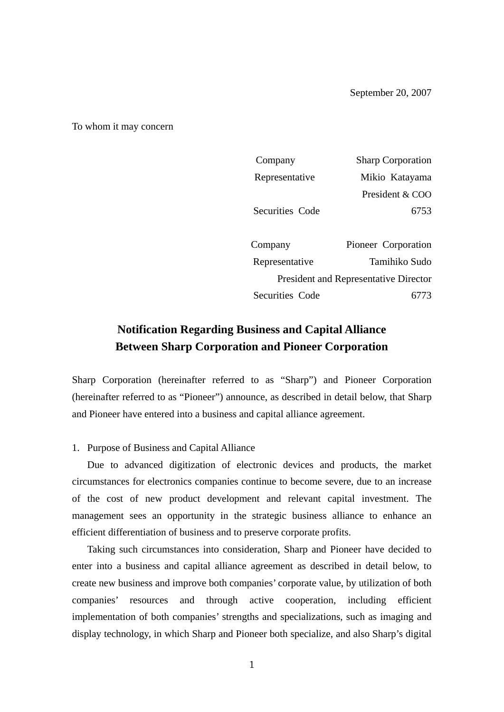To whom it may concern

| Company                                      | <b>Sharp Corporation</b> |  |
|----------------------------------------------|--------------------------|--|
| Representative                               | Mikio Katayama           |  |
|                                              | President & COO          |  |
| Securities Code                              | 6753                     |  |
|                                              |                          |  |
| Company                                      | Pioneer Corporation      |  |
| Representative                               | Tamihiko Sudo            |  |
| <b>President and Representative Director</b> |                          |  |
| Securities Code                              |                          |  |
|                                              |                          |  |

# **Notification Regarding Business and Capital Alliance Between Sharp Corporation and Pioneer Corporation**

Sharp Corporation (hereinafter referred to as "Sharp") and Pioneer Corporation (hereinafter referred to as "Pioneer") announce, as described in detail below, that Sharp and Pioneer have entered into a business and capital alliance agreement.

## 1. Purpose of Business and Capital Alliance

 Due to advanced digitization of electronic devices and products, the market circumstances for electronics companies continue to become severe, due to an increase of the cost of new product development and relevant capital investment. The management sees an opportunity in the strategic business alliance to enhance an efficient differentiation of business and to preserve corporate profits.

 Taking such circumstances into consideration, Sharp and Pioneer have decided to enter into a business and capital alliance agreement as described in detail below, to create new business and improve both companies' corporate value, by utilization of both companies' resources and through active cooperation, including efficient implementation of both companies' strengths and specializations, such as imaging and display technology, in which Sharp and Pioneer both specialize, and also Sharp's digital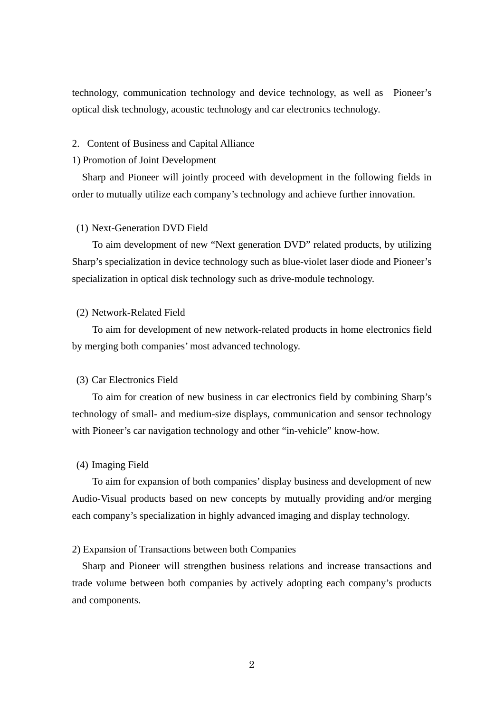technology, communication technology and device technology, as well as Pioneer's optical disk technology, acoustic technology and car electronics technology.

## 2. Content of Business and Capital Alliance

#### 1) Promotion of Joint Development

 Sharp and Pioneer will jointly proceed with development in the following fields in order to mutually utilize each company's technology and achieve further innovation.

#### (1) Next-Generation DVD Field

 To aim development of new "Next generation DVD" related products, by utilizing Sharp's specialization in device technology such as blue-violet laser diode and Pioneer's specialization in optical disk technology such as drive-module technology.

## (2) Network-Related Field

 To aim for development of new network-related products in home electronics field by merging both companies' most advanced technology.

## (3) Car Electronics Field

 To aim for creation of new business in car electronics field by combining Sharp's technology of small- and medium-size displays, communication and sensor technology with Pioneer's car navigation technology and other "in-vehicle" know-how.

#### (4) Imaging Field

 To aim for expansion of both companies' display business and development of new Audio-Visual products based on new concepts by mutually providing and/or merging each company's specialization in highly advanced imaging and display technology.

## 2) Expansion of Transactions between both Companies

 Sharp and Pioneer will strengthen business relations and increase transactions and trade volume between both companies by actively adopting each company's products and components.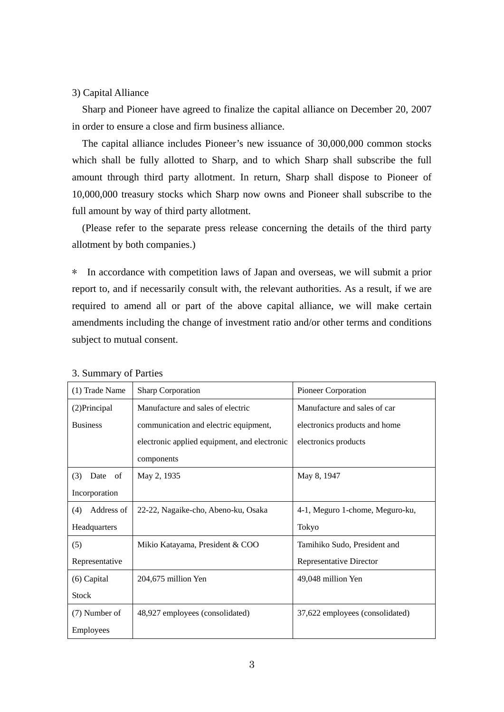## 3) Capital Alliance

 Sharp and Pioneer have agreed to finalize the capital alliance on December 20, 2007 in order to ensure a close and firm business alliance.

 The capital alliance includes Pioneer's new issuance of 30,000,000 common stocks which shall be fully allotted to Sharp, and to which Sharp shall subscribe the full amount through third party allotment. In return, Sharp shall dispose to Pioneer of 10,000,000 treasury stocks which Sharp now owns and Pioneer shall subscribe to the full amount by way of third party allotment.

 (Please refer to the separate press release concerning the details of the third party allotment by both companies.)

\* In accordance with competition laws of Japan and overseas, we will submit a prior report to, and if necessarily consult with, the relevant authorities. As a result, if we are required to amend all or part of the above capital alliance, we will make certain amendments including the change of investment ratio and/or other terms and conditions subject to mutual consent.

| (1) Trade Name      | <b>Sharp Corporation</b>                     | Pioneer Corporation             |
|---------------------|----------------------------------------------|---------------------------------|
| (2) Principal       | Manufacture and sales of electric            | Manufacture and sales of car    |
| <b>Business</b>     | communication and electric equipment,        | electronics products and home   |
|                     | electronic applied equipment, and electronic | electronics products            |
|                     | components                                   |                                 |
| (3)<br>Date<br>- of | May 2, 1935                                  | May 8, 1947                     |
| Incorporation       |                                              |                                 |
| Address of<br>(4)   | 22-22, Nagaike-cho, Abeno-ku, Osaka          | 4-1, Meguro 1-chome, Meguro-ku, |
| Headquarters        |                                              | Tokyo                           |
| (5)                 | Mikio Katayama, President & COO              | Tamihiko Sudo, President and    |
| Representative      |                                              | <b>Representative Director</b>  |
| $(6)$ Capital       | 204,675 million Yen                          | 49,048 million Yen              |
| <b>Stock</b>        |                                              |                                 |
| (7) Number of       | 48,927 employees (consolidated)              | 37,622 employees (consolidated) |
| Employees           |                                              |                                 |

## 3. Summary of Parties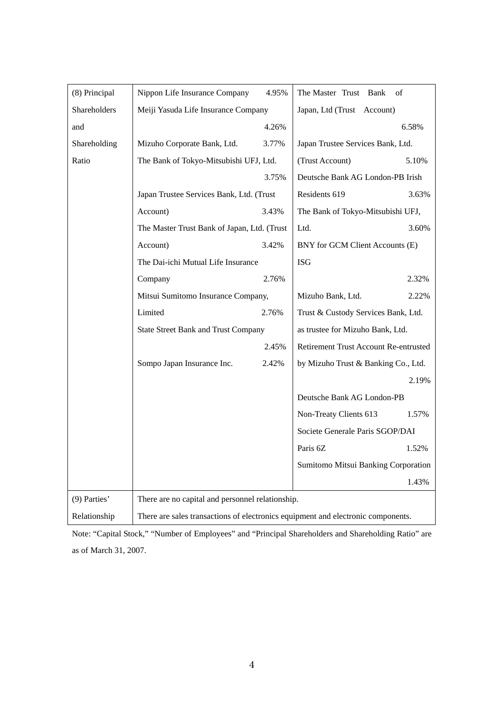| (8) Principal | Nippon Life Insurance Company                                                    | 4.95%                                    | The Master Trust Bank<br>of           |       |
|---------------|----------------------------------------------------------------------------------|------------------------------------------|---------------------------------------|-------|
| Shareholders  | Meiji Yasuda Life Insurance Company                                              |                                          | Japan, Ltd (Trust Account)            |       |
| and           |                                                                                  | 4.26%                                    |                                       | 6.58% |
| Shareholding  | Mizuho Corporate Bank, Ltd.                                                      | 3.77%                                    | Japan Trustee Services Bank, Ltd.     |       |
| Ratio         | The Bank of Tokyo-Mitsubishi UFJ, Ltd.                                           |                                          | (Trust Account)                       | 5.10% |
|               | 3.75%                                                                            |                                          | Deutsche Bank AG London-PB Irish      |       |
|               |                                                                                  | Japan Trustee Services Bank, Ltd. (Trust |                                       | 3.63% |
|               | Account)                                                                         | 3.43%                                    | The Bank of Tokyo-Mitsubishi UFJ,     |       |
|               | The Master Trust Bank of Japan, Ltd. (Trust                                      |                                          | Ltd.                                  | 3.60% |
|               | Account)                                                                         | 3.42%                                    | BNY for GCM Client Accounts (E)       |       |
|               | The Dai-ichi Mutual Life Insurance                                               |                                          | <b>ISG</b>                            |       |
|               | Company                                                                          | 2.76%                                    |                                       | 2.32% |
|               |                                                                                  | Mitsui Sumitomo Insurance Company,       |                                       | 2.22% |
|               | Limited                                                                          | 2.76%                                    | Trust & Custody Services Bank, Ltd.   |       |
|               | <b>State Street Bank and Trust Company</b><br>2.45%                              |                                          | as trustee for Mizuho Bank, Ltd.      |       |
|               |                                                                                  |                                          | Retirement Trust Account Re-entrusted |       |
|               | Sompo Japan Insurance Inc.                                                       | 2.42%                                    | by Mizuho Trust & Banking Co., Ltd.   |       |
|               |                                                                                  |                                          |                                       | 2.19% |
|               |                                                                                  |                                          | Deutsche Bank AG London-PB            |       |
|               |                                                                                  |                                          | Non-Treaty Clients 613                | 1.57% |
|               |                                                                                  |                                          | Societe Generale Paris SGOP/DAI       |       |
|               |                                                                                  |                                          | Paris 6Z                              | 1.52% |
|               |                                                                                  |                                          | Sumitomo Mitsui Banking Corporation   |       |
|               |                                                                                  |                                          |                                       | 1.43% |
| (9) Parties'  | There are no capital and personnel relationship.                                 |                                          |                                       |       |
| Relationship  | There are sales transactions of electronics equipment and electronic components. |                                          |                                       |       |
|               |                                                                                  |                                          |                                       |       |

Note: "Capital Stock," "Number of Employees" and "Principal Shareholders and Shareholding Ratio" are as of March 31, 2007.